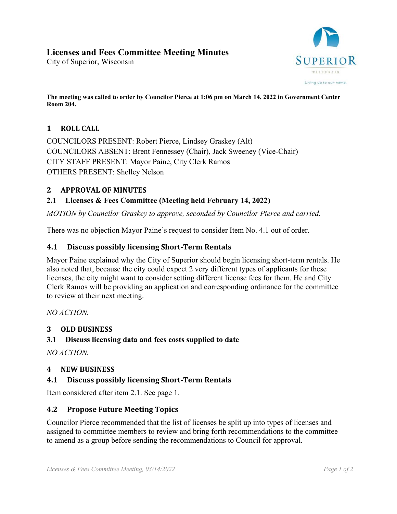# **Licenses and Fees Committee Meeting Minutes**

City of Superior, Wisconsin



**The meeting was called to order by Councilor Pierce at 1:06 pm on March 14, 2022 in Government Center Room 204.** 

## 1 **ROLL** CALL

COUNCILORS PRESENT: Robert Pierce, Lindsey Graskey (Alt) COUNCILORS ABSENT: Brent Fennessey (Chair), Jack Sweeney (Vice-Chair) CITY STAFF PRESENT: Mayor Paine, City Clerk Ramos OTHERS PRESENT: Shelley Nelson

## **2 APPROVAL OF MINUTES**

## **2.1 Licenses & Fees Committee (Meeting held February 14, 2022)**

*MOTION by Councilor Graskey to approve, seconded by Councilor Pierce and carried.* 

There was no objection Mayor Paine's request to consider Item No. 4.1 out of order.

#### **4.1 Discuss possibly licensing Short‐Term Rentals**

Mayor Paine explained why the City of Superior should begin licensing short-term rentals. He also noted that, because the city could expect 2 very different types of applicants for these licenses, the city might want to consider setting different license fees for them. He and City Clerk Ramos will be providing an application and corresponding ordinance for the committee to review at their next meeting.

*NO ACTION.* 

#### **3 OLD BUSINESS**

#### **3.1 Discuss licensing data and fees costs supplied to date**

*NO ACTION.* 

## **4 NEW BUSINESS**

## **4.1 Discuss possibly licensing Short‐Term Rentals**

Item considered after item 2.1. See page 1.

#### **4.2 Propose Future Meeting Topics**

Councilor Pierce recommended that the list of licenses be split up into types of licenses and assigned to committee members to review and bring forth recommendations to the committee to amend as a group before sending the recommendations to Council for approval.